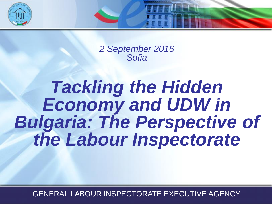

*2 September 2016 Sofia*

# *Tackling the Hidden Economy and UDW in Bulgaria: The Perspective of the Labour Inspectorate*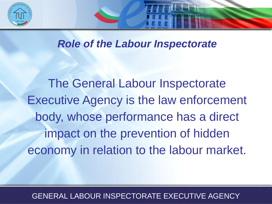



The General Labour Inspectorate Executive Agency is the law enforcement body, whose performance has a direct impact on the prevention of hidden economy in relation to the labour market.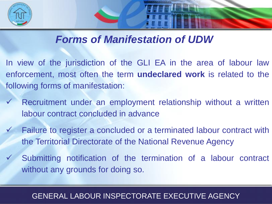

### *Forms of Manifestation of UDW*

- In view of the jurisdiction of the GLI EA in the area of labour law enforcement, most often the term **undeclared work** is related to the following forms of manifestation:
- Recruitment under an employment relationship without a written labour contract concluded in advance
- Failure to register a concluded or a terminated labour contract with the Territorial Directorate of the National Revenue Agency
- Submitting notification of the termination of a labour contract without any grounds for doing so.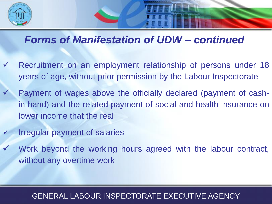

### *Forms of Manifestation of UDW – continued*

- Recruitment on an employment relationship of persons under 18 years of age, without prior permission by the Labour Inspectorate
- Payment of wages above the officially declared (payment of cashin-hand) and the related payment of social and health insurance on lower income that the real
- Irregular payment of salaries
- Work beyond the working hours agreed with the labour contract, without any overtime work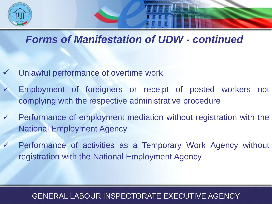

### *Forms of Manifestation of UDW - continued*

- Unlawful performance of overtime work
- Employment of foreigners or receipt of posted workers not complying with the respective administrative procedure
- Performance of employment mediation without registration with the National Employment Agency
- Performance of activities as a Temporary Work Agency without registration with the National Employment Agency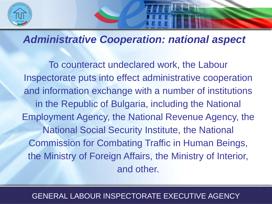

### *Administrative Cooperation: national aspect*

To counteract undeclared work, the Labour Inspectorate puts into effect administrative cooperation and information exchange with a number of institutions in the Republic of Bulgaria, including the National Employment Agency, the National Revenue Agency, the National Social Security Institute, the National Commission for Combating Traffic in Human Beings, the Ministry of Foreign Affairs, the Ministry of Interior, and other.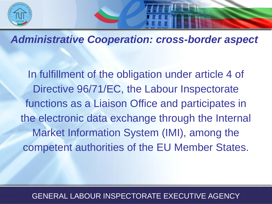

*Administrative Cooperation: cross-border aspect* 

In fulfillment of the obligation under article 4 of Directive 96/71/EC, the Labour Inspectorate functions as a Liaison Office and participates in the electronic data exchange through the Internal Market Information System (IMI), among the competent authorities of the EU Member States.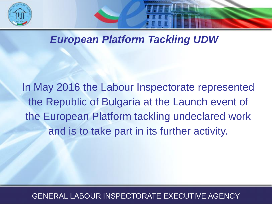

### *European Platform Tackling UDW*

In May 2016 the Labour Inspectorate represented the Republic of Bulgaria at the Launch event of the European Platform tackling undeclared work and is to take part in its further activity.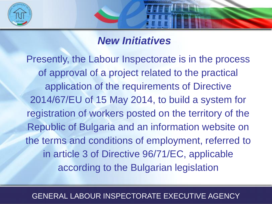

### *New Initiatives*

Presently, the Labour Inspectorate is in the process of approval of a project related to the practical application of the requirements of Directive 2014/67/EU of 15 May 2014, to build a system for registration of workers posted on the territory of the Republic of Bulgaria and an information website on the terms and conditions of employment, referred to in article 3 of Directive 96/71/EC, applicable according to the Bulgarian legislation